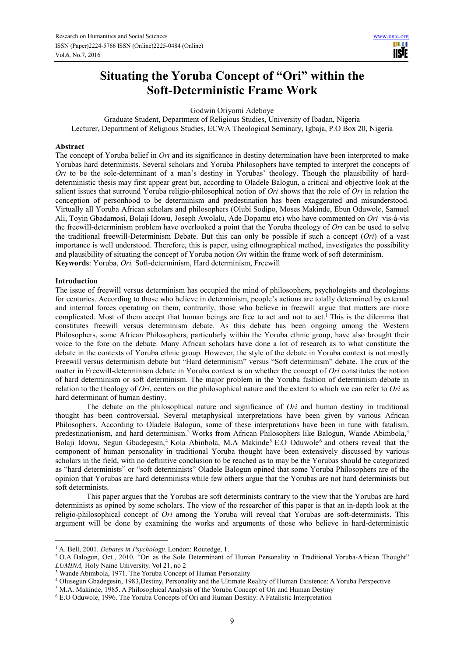# **Situating the Yoruba Concept of "Ori" within the Soft-Deterministic Frame Work**

Godwin Oriyomi Adeboye

Graduate Student, Department of Religious Studies, University of Ibadan, Nigeria Lecturer, Department of Religious Studies, ECWA Theological Seminary, Igbaja, P.O Box 20, Nigeria

## **Abstract**

The concept of Yoruba belief in *Ori* and its significance in destiny determination have been interpreted to make Yorubas hard determinists. Several scholars and Yoruba Philosophers have tempted to interpret the concepts of *Ori* to be the sole-determinant of a man's destiny in Yorubas' theology. Though the plausibility of harddeterministic thesis may first appear great but, according to Oladele Balogun, a critical and objective look at the salient issues that surround Yoruba religio-philosophical notion of *Ori* shows that the role of *Ori* in relation the conception of personhood to be determinism and predestination has been exaggerated and misunderstood. Virtually all Yoruba African scholars and philosophers (Olubi Sodipo, Moses Makinde, Ebun Oduwole, Samuel Ali, Toyin Gbadamosi, Bolaji Idowu, Joseph Awolalu, Ade Dopamu etc) who have commented on *Ori* vis-à-vis the freewill-determinism problem have overlooked a point that the Yoruba theology of *Ori* can be used to solve the traditional freewill-Determinism Debate. But this can only be possible if such a concept (*Ori*) of a vast importance is well understood. Therefore, this is paper, using ethnographical method, investigates the possibility and plausibility of situating the concept of Yoruba notion *Ori* within the frame work of soft determinism. **Keywords**: Yoruba, *Ori,* Soft-determinism, Hard determinism, Freewill

## **Introduction**

 $\overline{a}$ 

The issue of freewill versus determinism has occupied the mind of philosophers, psychologists and theologians for centuries. According to those who believe in determinism, people's actions are totally determined by external and internal forces operating on them, contrarily, those who believe in freewill argue that matters are more complicated. Most of them accept that human beings are free to act and not to act.<sup>1</sup> This is the dilemma that constitutes freewill versus determinism debate. As this debate has been ongoing among the Western Philosophers, some African Philosophers, particularly within the Yoruba ethnic group, have also brought their voice to the fore on the debate. Many African scholars have done a lot of research as to what constitute the debate in the contexts of Yoruba ethnic group. However, the style of the debate in Yoruba context is not mostly Freewill versus determinism debate but "Hard determinism" versus "Soft determinism" debate. The crux of the matter in Freewill-determinism debate in Yoruba context is on whether the concept of *Ori* constitutes the notion of hard determinism or soft determinism. The major problem in the Yoruba fashion of determinism debate in relation to the theology of *Ori*, centers on the philosophical nature and the extent to which we can refer to *Ori* as hard determinant of human destiny.

The debate on the philosophical nature and significance of *Ori* and human destiny in traditional thought has been controversial. Several metaphysical interpretations have been given by various African Philosophers. According to Oladele Balogun, some of these interpretations have been in tune with fatalism, predestinationism, and hard determinism.<sup>2</sup> Works from African Philosophers like Balogun, Wande Abimbola,<sup>3</sup> Bolaji Idowu, Segun Gbadegesin,<sup>4</sup> Kola Abinbola, M.A Makinde<sup>5</sup> E.O Oduwole<sup>6</sup> and others reveal that the component of human personality in traditional Yoruba thought have been extensively discussed by various scholars in the field, with no definitive conclusion to be reached as to may be the Yorubas should be categorized as "hard determinists" or "soft determinists" Oladele Balogun opined that some Yoruba Philosophers are of the opinion that Yorubas are hard determinists while few others argue that the Yorubas are not hard determinists but soft determinists.

This paper argues that the Yorubas are soft determinists contrary to the view that the Yorubas are hard determinists as opined by some scholars. The view of the researcher of this paper is that an in-depth look at the religio-philosophical concept of *Ori* among the Yoruba will reveal that Yorubas are soft-determinists. This argument will be done by examining the works and arguments of those who believe in hard-deterministic

<sup>1</sup> A. Bell, 2001. *Debates in Psychology,* London: Routedge, 1.

<sup>&</sup>lt;sup>2</sup> O.A Balogun, Oct., 2010. "Ori as the Sole Determinant of Human Personality in Traditional Yoruba-African Thought" *LUMINA,* Holy Name University. Vol 21, no 2

<sup>&</sup>lt;sup>3</sup> Wande Abimbola, 1971. The Yoruba Concept of Human Personality

<sup>4</sup> Olusegun Gbadegesin, 1983,Destiny, Personality and the Ultimate Reality of Human Existence: A Yoruba Perspective

<sup>&</sup>lt;sup>5</sup> M.A. Makinde, 1985. A Philosophical Analysis of the Yoruba Concept of Ori and Human Destiny

<sup>6</sup> E.O Oduwole, 1996. The Yoruba Concepts of Ori and Human Destiny: A Fatalistic Interpretation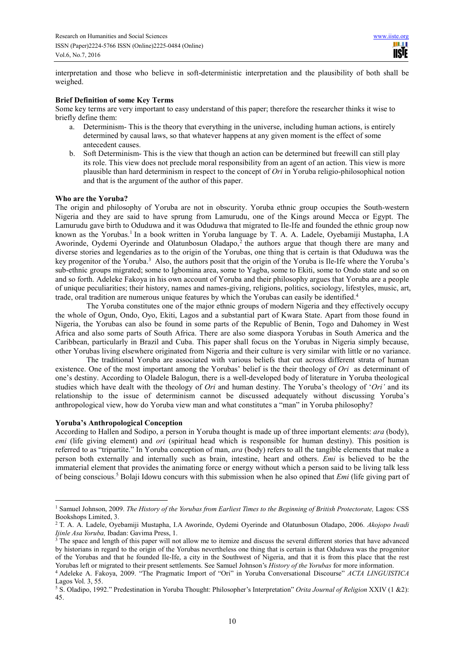interpretation and those who believe in soft-deterministic interpretation and the plausibility of both shall be weighed.

# **Brief Definition of some Key Terms**

Some key terms are very important to easy understand of this paper; therefore the researcher thinks it wise to briefly define them:

- a. Determinism- This is the theory that everything in the universe, including human actions, is entirely determined by causal laws, so that whatever happens at any given moment is the effect of some antecedent causes.
- b. Soft Determinism- This is the view that though an action can be determined but freewill can still play its role. This view does not preclude moral responsibility from an agent of an action. This view is more plausible than hard determinism in respect to the concept of *Ori* in Yoruba religio-philosophical notion and that is the argument of the author of this paper.

## **Who are the Yoruba?**

The origin and philosophy of Yoruba are not in obscurity. Yoruba ethnic group occupies the South-western Nigeria and they are said to have sprung from Lamurudu, one of the Kings around Mecca or Egypt. The Lamurudu gave birth to Oduduwa and it was Oduduwa that migrated to Ile-Ife and founded the ethnic group now known as the Yorubas.<sup>1</sup> In a book written in Yoruba language by T. A. A. Ladele, Oyebamiji Mustapha, I.A Aworinde, Oydemi Oyerinde and Olatunbosun Oladapo,<sup>2</sup> the authors argue that though there are many and diverse stories and legendaries as to the origin of the Yorubas, one thing that is certain is that Oduduwa was the key progenitor of the Yoruba.<sup>3</sup> Also, the authors posit that the origin of the Yoruba is Ile-Ife where the Yoruba's sub-ethnic groups migrated; some to Igbomina area, some to Yagba, some to Ekiti, some to Ondo state and so on and so forth. Adeleke Fakoya in his own account of Yoruba and their philosophy argues that Yoruba are a people of unique peculiarities; their history, names and names-giving, religions, politics, sociology, lifestyles, music, art, trade, oral tradition are numerous unique features by which the Yorubas can easily be identified.<sup>4</sup>

The Yoruba constitutes one of the major ethnic groups of modern Nigeria and they effectively occupy the whole of Ogun, Ondo, Oyo, Ekiti, Lagos and a substantial part of Kwara State. Apart from those found in Nigeria, the Yorubas can also be found in some parts of the Republic of Benin, Togo and Dahomey in West Africa and also some parts of South Africa. There are also some diaspora Yorubas in South America and the Caribbean, particularly in Brazil and Cuba. This paper shall focus on the Yorubas in Nigeria simply because, other Yorubas living elsewhere originated from Nigeria and their culture is very similar with little or no variance.

The traditional Yoruba are associated with various beliefs that cut across different strata of human existence. One of the most important among the Yorubas' belief is the their theology of *Ori* as determinant of one's destiny. According to Oladele Balogun, there is a well-developed body of literature in Yoruba theological studies which have dealt with the theology of *Ori* and human destiny. The Yoruba's theology of '*Ori'* and its relationship to the issue of determinism cannot be discussed adequately without discussing Yoruba's anthropological view, how do Yoruba view man and what constitutes a "man" in Yoruba philosophy?

## **Yoruba's Anthropological Conception**

 $\overline{a}$ 

According to Hallen and Sodipo, a person in Yoruba thought is made up of three important elements: *ara* (body), *emi* (life giving element) and *ori* (spiritual head which is responsible for human destiny). This position is referred to as "tripartite." In Yoruba conception of man, *ara* (body) refers to all the tangible elements that make a person both externally and internally such as brain, intestine, heart and others. *Emi* is believed to be the immaterial element that provides the animating force or energy without which a person said to be living talk less of being conscious.<sup>5</sup> Bolaji Idowu concurs with this submission when he also opined that *Emi* (life giving part of

<sup>&</sup>lt;sup>1</sup> Samuel Johnson, 2009. *The History of the Yorubas from Earliest Times to the Beginning of British Protectorate, Lagos: CSS* Bookshops Limited, 3.

<sup>2</sup> T. A. A. Ladele, Oyebamiji Mustapha, I.A Aworinde, Oydemi Oyerinde and Olatunbosun Oladapo, 2006. *Akojopo Iwadi Ijinle Asa Yoruba,* Ibadan: Gavima Press, 1.

<sup>&</sup>lt;sup>3</sup> The space and length of this paper will not allow me to itemize and discuss the several different stories that have advanced by historians in regard to the origin of the Yorubas nevertheless one thing that is certain is that Oduduwa was the progenitor of the Yorubas and that he founded Ile-Ife, a city in the Southwest of Nigeria, and that it is from this place that the rest Yorubas left or migrated to their present settlements. See Samuel Johnson's *History of the Yorubas* for more information.

<sup>4</sup> Adeleke A. Fakoya, 2009. "The Pragmatic Import of "Ori" in Yoruba Conversational Discourse" *ACTA LINGUISTICA* Lagos Vol. 3, 55.

<sup>5</sup> S. Oladipo, 1992." Predestination in Yoruba Thought: Philosopher's Interpretation" *Orita Journal of Religion* XXIV (1 &2): 45.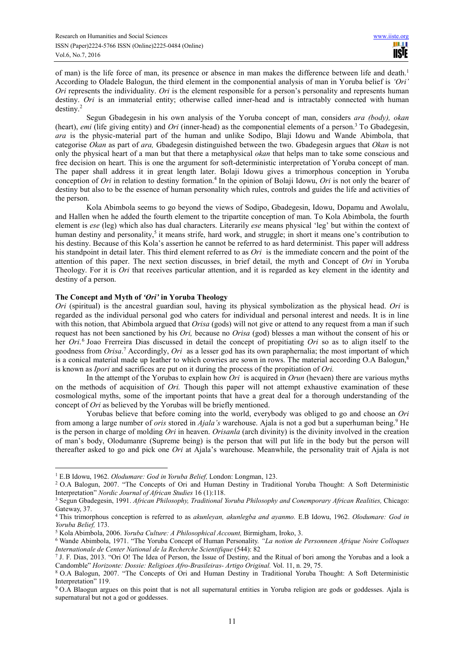of man) is the life force of man, its presence or absence in man makes the difference between life and death.<sup>1</sup> According to Oladele Balogun, the third element in the componential analysis of man in Yoruba belief is *'Ori' Ori* represents the individuality. *Ori* is the element responsible for a person's personality and represents human destiny. *Ori* is an immaterial entity; otherwise called inner-head and is intractably connected with human destiny.<sup>2</sup>

Segun Gbadegesin in his own analysis of the Yoruba concept of man, considers *ara (body), okan*  (heart), *emi* (life giving entity) and *Ori* (inner-head) as the componential elements of a person.<sup>3</sup> To Gbadegesin, *ara* is the physic-material part of the human and unlike Sodipo, Blaji Idowu and Wande Abimbola, that categorise *Okan* as part of *ara,* Gbadegesin distinguished between the two. Gbadegesin argues that *Okan* is not only the physical heart of a man but that there a metaphysical *okan* that helps man to take some conscious and free decision on heart. This is one the argument for soft-deterministic interpretation of Yoruba concept of man. The paper shall address it in great length later. Bolaji Idowu gives a trimorphous conception in Yoruba conception of *Ori* in relation to destiny formation.<sup>4</sup> In the opinion of Bolaji Idowu, *Ori* is not only the bearer of destiny but also to be the essence of human personality which rules, controls and guides the life and activities of the person.

Kola Abimbola seems to go beyond the views of Sodipo, Gbadegesin, Idowu, Dopamu and Awolalu, and Hallen when he added the fourth element to the tripartite conception of man. To Kola Abimbola, the fourth element is *ese* (leg) which also has dual characters. Literarily *ese* means physical 'leg' but within the context of human destiny and personality,<sup>5</sup> it means strife, hard work, and struggle; in short it means one's contribution to his destiny. Because of this Kola's assertion he cannot be referred to as hard determinist. This paper will address his standpoint in detail later. This third element referred to as *Ori* is the immediate concern and the point of the attention of this paper. The next section discusses, in brief detail, the myth and Concept of *Ori* in Yoruba Theology. For it is *Ori* that receives particular attention, and it is regarded as key element in the identity and destiny of a person.

# **The Concept and Myth of** *'Ori'* **in Yoruba Theology**

*Ori* (spiritual) is the ancestral guardian soul, having its physical symbolization as the physical head. *Ori* is regarded as the individual personal god who caters for individual and personal interest and needs. It is in line with this notion, that Abimbola argued that *Orisa* (gods) will not give or attend to any request from a man if such request has not been sanctioned by his *Ori,* because no *Orisa* (god) blesses a man without the consent of his or her *Ori*. 6 Joao Frerreira Dias discussed in detail the concept of propitiating *Ori* so as to align itself to the goodness from *Orisa*. 7 Accordingly, *Ori* as a lesser god has its own paraphernalia; the most important of which is a conical material made up leather to which cowries are sown in rows. The material according O.A Balogun,<sup>8</sup> is known as *Ipori* and sacrifices are put on it during the process of the propitiation of *Ori.*

In the attempt of the Yorubas to explain how *Ori* is acquired in *Orun* (hevaen) there are various myths on the methods of acquisition of *Ori.* Though this paper will not attempt exhaustive examination of these cosmological myths, some of the important points that have a great deal for a thorough understanding of the concept of *Ori* as believed by the Yorubas will be briefly mentioned.

Yorubas believe that before coming into the world, everybody was obliged to go and choose an *Ori*  from among a large number of *oris* stored in *Ajala's* warehouse. Ajala is not a god but a superhuman being.<sup>9</sup> He is the person in charge of molding *Ori* in heaven. *Orisanla* (arch divinity) is the divinity involved in the creation of man's body, Olodumanre (Supreme being) is the person that will put life in the body but the person will thereafter asked to go and pick one *Ori* at Ajala's warehouse. Meanwhile, the personality trait of Ajala is not

 $\overline{a}$ 1 E.B Idowu, 1962. *Olodumare: God in Yoruba Belief,* London: Longman, 123.

<sup>&</sup>lt;sup>2</sup> O.A Balogun, 2007. "The Concepts of Ori and Human Destiny in Traditional Yoruba Thought: A Soft Deterministic Interpretation" *Nordic Journal of African Studies* 16 (1):118.

<sup>3</sup> Segun Gbadegesin, 1991. *African Philosophy, Traditional Yoruba Philosophy and Conemporary African Realities,* Chicago: Gateway, 37.

<sup>4</sup> This trimorphous conception is referred to as *akunleyan, akunlegba and ayanmo.* E.B Idowu, 1962. *Olodumare: God in Yoruba Belief,* 173.

<sup>5</sup> Kola Abimbola, 2006. *Yoruba Culture: A Philosophical Account,* Birmigham, Iroko, 3.

<sup>6</sup> Wande Abimbola, 1971. "The Yoruba Concept of Human Personality. *"La notion de Personneen Afrique Noire Colloques Internationale de Center National de la Recherche Scientifique* (544): 82

<sup>7</sup> J. F. Dias, 2013. "Ori O! The Idea of Person, the Issue of Destiny, and the Ritual of bori among the Yorubas and a look a Candomble" *Horizonte: Dossie: Religioes Afro-Brasileiras- Artigo Original.* Vol. 11, n. 29, 75.

<sup>8</sup> O.A Balogun, 2007. "The Concepts of Ori and Human Destiny in Traditional Yoruba Thought: A Soft Deterministic Interpretation" 119.

<sup>&</sup>lt;sup>9</sup> O.A Blaogun argues on this point that is not all supernatural entities in Yoruba religion are gods or goddesses. Ajala is supernatural but not a god or goddesses.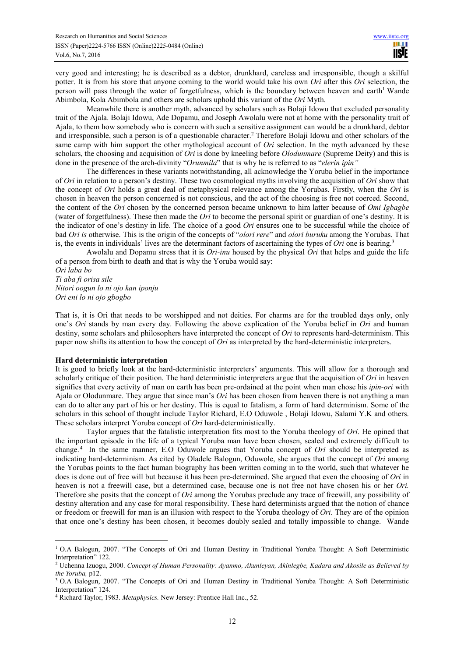very good and interesting; he is described as a debtor, drunkhard, careless and irresponsible, though a skilful potter. It is from his store that anyone coming to the world would take his own *Ori* after this *Ori* selection, the person will pass through the water of forgetfulness, which is the boundary between heaven and earth<sup>1</sup> Wande Abimbola, Kola Abimbola and others are scholars uphold this variant of the *Ori* Myth.

Meanwhile there is another myth, advanced by scholars such as Bolaji Idowu that excluded personality trait of the Ajala. Bolaji Idowu, Ade Dopamu, and Joseph Awolalu were not at home with the personality trait of Ajala, to them how somebody who is concern with such a sensitive assignment can would be a drunkhard, debtor and irresponsible, such a person is of a questionable character.<sup>2</sup> Therefore Bolaji Idowu and other scholars of the same camp with him support the other mythological account of *Ori* selection. In the myth advanced by these scholars, the choosing and acquisition of *Ori* is done by kneeling before *Olodunmare* (Supreme Deity) and this is done in the presence of the arch-divinity "*Orunmila*" that is why he is referred to as "*elerin ipin"*

The differences in these variants notwithstanding, all acknowledge the Yoruba belief in the importance of *Ori* in relation to a person's destiny. These two cosmological myths involving the acquisition of *Ori* show that the concept of *Ori* holds a great deal of metaphysical relevance among the Yorubas. Firstly, when the *Ori* is chosen in heaven the person concerned is not conscious, and the act of the choosing is free not coerced. Second, the content of the *Ori* chosen by the concerned person became unknown to him latter because of *Omi Igbagbe* (water of forgetfulness). These then made the *Ori* to become the personal spirit or guardian of one's destiny. It is the indicator of one's destiny in life. The choice of a good *Ori* ensures one to be successful while the choice of bad *Ori is* otherwise. This is the origin of the concepts of "*olori rere*" and *olori buruku* among the Yorubas. That is, the events in individuals' lives are the determinant factors of ascertaining the types of *Ori* one is bearing.<sup>3</sup>

Awolalu and Dopamu stress that it is *Ori-inu* housed by the physical *Ori* that helps and guide the life of a person from birth to death and that is why the Yoruba would say:

*Ori laba bo Ti aba fi orisa sile Nitori oogun lo ni ojo kan iponju Ori eni lo ni ojo gbogbo*

That is, it is Ori that needs to be worshipped and not deities. For charms are for the troubled days only, only one's *Ori* stands by man every day. Following the above explication of the Yoruba belief in *Ori* and human destiny, some scholars and philosophers have interpreted the concept of *Ori* to represents hard-determinism. This paper now shifts its attention to how the concept of *Ori* as interpreted by the hard-deterministic interpreters.

#### **Hard deterministic interpretation**

 $\overline{a}$ 

It is good to briefly look at the hard-deterministic interpreters' arguments. This will allow for a thorough and scholarly critique of their position. The hard deterministic interpreters argue that the acquisition of *Ori* in heaven signifies that every activity of man on earth has been pre-ordained at the point when man chose his *ipin-ori* with Ajala or Olodunmare. They argue that since man's *Ori* has been chosen from heaven there is not anything a man can do to alter any part of his or her destiny. This is equal to fatalism, a form of hard determinism. Some of the scholars in this school of thought include Taylor Richard, E.O Oduwole , Bolaji Idowu, Salami Y.K and others. These scholars interpret Yoruba concept of *Ori* hard-deterministically.

Taylor argues that the fatalistic interpretation fits most to the Yoruba theology of *Ori*. He opined that the important episode in the life of a typical Yoruba man have been chosen, sealed and extremely difficult to change. <sup>4</sup> In the same manner, E.O Oduwole argues that Yoruba concept of *Ori* should be interpreted as indicating hard-determinism. As cited by Oladele Balogun, Oduwole, she argues that the concept of *Ori* among the Yorubas points to the fact human biography has been written coming in to the world, such that whatever he does is done out of free will but because it has been pre-determined. She argued that even the choosing of *Ori* in heaven is not a freewill case, but a determined case, because one is not free not have chosen his or her *Ori.*  Therefore she posits that the concept of *Ori* among the Yorubas preclude any trace of freewill, any possibility of destiny alteration and any case for moral responsibility. These hard determinists argued that the notion of chance or freedom or freewill for man is an illusion with respect to the Yoruba theology of *Ori.* They are of the opinion that once one's destiny has been chosen, it becomes doubly sealed and totally impossible to change. Wande

<sup>&</sup>lt;sup>1</sup> O.A Balogun, 2007. "The Concepts of Ori and Human Destiny in Traditional Yoruba Thought: A Soft Deterministic Interpretation" 122.

<sup>2</sup> Uchenna Izuogu, 2000. *Concept of Human Personality: Ayanmo, Akunleyan, Akinlegbe, Kadara and Akosile as Believed by the Yoruba,* p12.

<sup>&</sup>lt;sup>3</sup> O.A Balogun, 2007. "The Concepts of Ori and Human Destiny in Traditional Yoruba Thought: A Soft Deterministic Interpretation" 124.

<sup>4</sup> Richard Taylor, 1983. *Metaphysics.* New Jersey: Prentice Hall Inc., 52.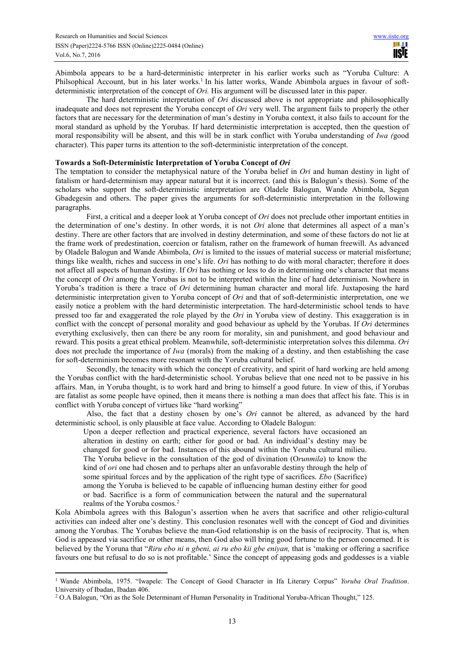Abimbola appears to be a hard-deterministic interpreter in his earlier works such as "Yoruba Culture: A Philsophical Account, but in his later works.<sup>1</sup> In his latter works, Wande Abimbola argues in favour of softdeterministic interpretation of the concept of *Ori.* His argument will be discussed later in this paper.

The hard deterministic interpretation of *Ori* discussed above is not appropriate and philosophically inadequate and does not represent the Yoruba concept of *Ori* very well. The argument fails to properly the other factors that are necessary for the determination of man's destiny in Yoruba context, it also fails to account for the moral standard as uphold by the Yorubas. If hard deterministic interpretation is accepted, then the question of moral responsibility will be absent, and this will be in stark conflict with Yoruba understanding of *Iwa (*good character). This paper turns its attention to the soft-deterministic interpretation of the concept.

#### **Towards a Soft-Deterministic Interpretation of Yoruba Concept of** *Ori*

The temptation to consider the metaphysical nature of the Yoruba belief in *Ori* and human destiny in light of fatalism or hard-determinism may appear natural but it is incorrect. (and this is Balogun's thesis). Some of the scholars who support the soft-deterministic interpretation are Oladele Balogun, Wande Abimbola, Segun Gbadegesin and others. The paper gives the arguments for soft-deterministic interpretation in the following paragraphs.

First, a critical and a deeper look at Yoruba concept of *Ori* does not preclude other important entities in the determination of one's destiny. In other words, it is not *Ori* alone that determines all aspect of a man's destiny. There are other factors that are involved in destiny determination, and some of these factors do not lie at the frame work of predestination, coercion or fatalism, rather on the framework of human freewill. As advanced by Oladele Balogun and Wande Abimbola, *Ori* is limited to the issues of material success or material misfortune; things like wealth, riches and success in one's life. *Ori* has nothing to do with moral character; therefore it does not affect all aspects of human destiny. If *Ori* has nothing or less to do in determining one's character that means the concept of *Ori* among the Yorubas is not to be interpreted within the line of hard determinism. Nowhere in Yoruba's tradition is there a trace of *Ori* determining human character and moral life. Juxtaposing the hard deterministic interpretation given to Yoruba concept of *Ori* and that of soft-deterministic interpretation, one we easily notice a problem with the hard deterministic interpretation. The hard-deterministic school tends to have pressed too far and exaggerated the role played by the *Ori* in Yoruba view of destiny. This exaggeration is in conflict with the concept of personal morality and good behaviour as upheld by the Yorubas. If *Ori* determines everything exclusively, then can there be any room for morality, sin and punishment, and good behaviour and reward. This posits a great ethical problem. Meanwhile, soft-deterministic interpretation solves this dilemma. *Ori* does not preclude the importance of *Iwa* (morals) from the making of a destiny, and then establishing the case for soft-determinism becomes more resonant with the Yoruba cultural belief.

Secondly, the tenacity with which the concept of creativity, and spirit of hard working are held among the Yorubas conflict with the hard-deterministic school. Yorubas believe that one need not to be passive in his affairs. Man, in Yoruba thought, is to work hard and bring to himself a good future. In view of this, if Yorubas are fatalist as some people have opined, then it means there is nothing a man does that affect his fate. This is in conflict with Yoruba concept of virtues like "hard working"

Also, the fact that a destiny chosen by one's *Ori* cannot be altered, as advanced by the hard deterministic school, is only plausible at face value. According to Oladele Balogun:

Upon a deeper reflection and practical experience, several factors have occasioned an alteration in destiny on earth; either for good or bad. An individual's destiny may be changed for good or for bad. Instances of this abound within the Yoruba cultural milieu. The Yoruba believe in the consultation of the god of divination (O*runmila*) to know the kind of *ori* one had chosen and to perhaps alter an unfavorable destiny through the help of some spiritual forces and by the application of the right type of sacrifices. *Ebo* (Sacrifice) among the Yoruba is believed to be capable of influencing human destiny either for good or bad. Sacrifice is a form of communication between the natural and the supernatural realms of the Yoruba cosmos.<sup>2</sup>

Kola Abimbola agrees with this Balogun's assertion when he avers that sacrifice and other religio-cultural activities can indeed alter one's destiny. This conclusion resonates well with the concept of God and divinities among the Yorubas. The Yorubas believe the man-God relationship is on the basis of reciprocity. That is, when God is appeased via sacrifice or other means, then God also will bring good fortune to the person concerned. It is believed by the Yoruna that "*Riru ebo ni n gbeni, ai ru ebo kii gbe eniyan,* that is 'making or offering a sacrifice favours one but refusal to do so is not profitable.' Since the concept of appeasing gods and goddesses is a viable

 $\overline{a}$ 

<sup>&</sup>lt;sup>1</sup> Wande Abimbola, 1975. "Iwapele: The Concept of Good Character in Ifa Literary Corpus" *Yoruba Oral Tradition*. University of Ibadan, Ibadan 406.

<sup>2</sup> O.A Balogun, "Ori as the Sole Determinant of Human Personality in Traditional Yoruba-African Thought," 125.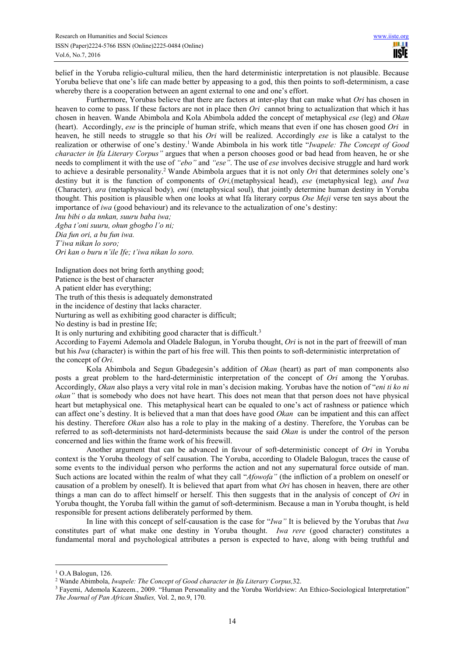belief in the Yoruba religio-cultural milieu, then the hard deterministic interpretation is not plausible. Because Yoruba believe that one's life can made better by appeasing to a god, this then points to soft-determinism, a case whereby there is a cooperation between an agent external to one and one's effort.

Furthermore, Yorubas believe that there are factors at inter-play that can make what *Ori* has chosen in heaven to come to pass. If these factors are not in place then *Ori* cannot bring to actualization that which it has chosen in heaven. Wande Abimbola and Kola Abimbola added the concept of metaphysical *ese* (leg) and *Okan*  (heart). Accordingly, *ese* is the principle of human strife, which means that even if one has chosen good *Ori* in heaven, he still needs to struggle so that his *Ori* will be realized. Accordingly *ese* is like a catalyst to the realization or otherwise of one's destiny.<sup>1</sup> Wande Abimbola in his work title "*Iwapele: The Concept of Good character in Ifa Literary Corpus"* argues that when a person chooses good or bad head from heaven, he or she needs to compliment it with the use of *"ebo"* and *"ese"*. The use of *ese* involves decisive struggle and hard work to achieve a desirable personality.<sup>2</sup> Wande Abimbola argues that it is not only *Ori* that determines solely one's destiny but it is the function of components of *Ori,*(metaphysical head), *ese* (metaphysical leg)*, and Iwa*  (Character)*, ara* (metaphysical body)*, emi* (metaphysical soul)*,* that jointly determine human destiny in Yoruba thought. This position is plausible when one looks at what Ifa literary corpus *Ose Meji* verse ten says about the importance of *iwa* (good behaviour) and its relevance to the actualization of one's destiny:

*Inu bibi o da nnkan, suuru baba iwa;*

*Agba t'oni suuru, ohun gbogbo l'o ni; Dia fun ori, a bu fun iwa. T'iwa nikan lo soro; Ori kan o buru n'ile Ife; t'iwa nikan lo soro.*

Indignation does not bring forth anything good;

Patience is the best of character

A patient elder has everything;

The truth of this thesis is adequately demonstrated

in the incidence of destiny that lacks character.

Nurturing as well as exhibiting good character is difficult;

No destiny is bad in prestine Ife;

It is only nurturing and exhibiting good character that is difficult.<sup>3</sup>

According to Fayemi Ademola and Oladele Balogun, in Yoruba thought, *Ori* is not in the part of freewill of man but his *Iwa* (character) is within the part of his free will. This then points to soft-deterministic interpretation of the concept of *Ori.*

Kola Abimbola and Segun Gbadegesin's addition of *Okan* (heart) as part of man components also posts a great problem to the hard-deterministic interpretation of the concept of *Ori* among the Yorubas. Accordingly, *Okan* also plays a very vital role in man's decision making. Yorubas have the notion of "*eni ti ko ni okan"* that is somebody who does not have heart. This does not mean that that person does not have physical heart but metaphysical one. This metaphysical heart can be equaled to one's act of rashness or patience which can affect one's destiny. It is believed that a man that does have good *Okan* can be impatient and this can affect his destiny. Therefore *Okan* also has a role to play in the making of a destiny. Therefore, the Yorubas can be referred to as soft-determinists not hard-determinists because the said *Okan* is under the control of the person concerned and lies within the frame work of his freewill.

Another argument that can be advanced in favour of soft-deterministic concept of *Ori* in Yoruba context is the Yoruba theology of self causation. The Yoruba, according to Oladele Balogun, traces the cause of some events to the individual person who performs the action and not any supernatural force outside of man. Such actions are located within the realm of what they call "*Afowofa*" (the infliction of a problem on oneself or causation of a problem by oneself). It is believed that apart from what *Ori* has chosen in heaven, there are other things a man can do to affect himself or herself. This then suggests that in the analysis of concept of *Ori* in Yoruba thought, the Yoruba fall within the gamut of soft-determinism. Because a man in Yoruba thought, is held responsible for present actions deliberately performed by them.

In line with this concept of self-causation is the case for "*Iwa"* It is believed by the Yorubas that *Iwa*  constitutes part of what make one destiny in Yoruba thought. *Iwa rere* (good character) constitutes a fundamental moral and psychological attributes a person is expected to have, along with being truthful and

 $\overline{a}$ 

<sup>1</sup> O.A Balogun, 126.

<sup>2</sup> Wande Abimbola, *Iwapele: The Concept of Good character in Ifa Literary Corpus,*32.

<sup>&</sup>lt;sup>3</sup> Fayemi, Ademola Kazeem., 2009. "Human Personality and the Yoruba Worldview: An Ethico-Sociological Interpretation" *The Journal of Pan African Studies,* Vol. 2, no.9, 170.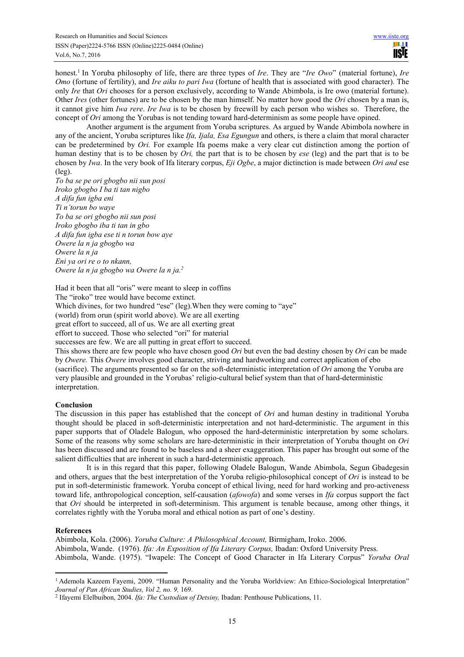honest.<sup>1</sup> In Yoruba philosophy of life, there are three types of *Ire*. They are "*Ire Owo*" (material fortune), *Ire Omo* (fortune of fertility), and *Ire aiku to pari Iwa* (fortune of health that is associated with good character). The only *Ire* that *Ori* chooses for a person exclusively, according to Wande Abimbola, is Ire owo (material fortune). Other *Ires* (other fortunes) are to be chosen by the man himself. No matter how good the *Ori* chosen by a man is, it cannot give him *Iwa rere*. *Ire Iwa* is to be chosen by freewill by each person who wishes so. Therefore, the concept of *Ori* among the Yorubas is not tending toward hard-determinism as some people have opined.

Another argument is the argument from Yoruba scriptures. As argued by Wande Abimbola nowhere in any of the ancient, Yoruba scriptures like *Ifa, Ijala, Esa Egungun* and others, is there a claim that moral character can be predetermined by *Ori.* For example Ifa poems make a very clear cut distinction among the portion of human destiny that is to be chosen by *Ori,* the part that is to be chosen by *ese* (leg) and the part that is to be chosen by *Iwa*. In the very book of Ifa literary corpus, *Eji Ogbe*, a major dictinction is made between *Ori and* ese (leg).

*To ba se pe ori gbogbo nii sun posi Iroko gbogbo I ba ti tan nigbo A difa fun igba eni Ti n'torun bo waye To ba se ori gbogbo nii sun posi Iroko gbogbo iba ti tan in gbo A difa fun igba ese ti n torun bow aye Owere la n ja gbogbo wa Owere la n ja Eni ya ori re o to nkann, Owere la n ja gbogbo wa Owere la n ja.<sup>2</sup>*

Had it been that all "oris" were meant to sleep in coffins

The "iroko" tree would have become extinct.

Which divines, for two hundred "ese" (leg). When they were coming to "aye"

(world) from orun (spirit world above). We are all exerting

great effort to succeed, all of us. We are all exerting great

effort to succeed. Those who selected "ori" for material

successes are few. We are all putting in great effort to succeed.

This shows there are few people who have chosen good *Ori* but even the bad destiny chosen by *Ori* can be made by *Owere.* This *Owere* involves good character, striving and hardworking and correct application of ebo (sacrifice). The arguments presented so far on the soft-deterministic interpretation of *Ori* among the Yoruba are very plausible and grounded in the Yorubas' religio-cultural belief system than that of hard-deterministic interpretation.

# **Conclusion**

The discussion in this paper has established that the concept of *Ori* and human destiny in traditional Yoruba thought should be placed in soft-deterministic interpretation and not hard-deterministic. The argument in this paper supports that of Oladele Balogun, who opposed the hard-deterministic interpretation by some scholars. Some of the reasons why some scholars are hare-deterministic in their interpretation of Yoruba thought on *Ori*  has been discussed and are found to be baseless and a sheer exaggeration. This paper has brought out some of the salient difficulties that are inherent in such a hard-deterministic approach.

It is in this regard that this paper, following Oladele Balogun, Wande Abimbola, Segun Gbadegesin and others, argues that the best interpretation of the Yoruba religio-philosophical concept of *Ori* is instead to be put in soft-deterministic framework. Yoruba concept of ethical living, need for hard working and pro-activeness toward life, anthropological conception, self-causation (*afowofa*) and some verses in *Ifa* corpus support the fact that *Ori* should be interpreted in soft-determinism. This argument is tenable because, among other things, it correlates rightly with the Yoruba moral and ethical notion as part of one's destiny.

#### **References**

Abimbola, Kola. (2006). *Yoruba Culture: A Philosophical Account,* Birmigham, Iroko. 2006. Abimbola, Wande. (1976). *Ifa: An Exposition of Ifa Literary Corpus,* Ibadan: Oxford University Press. Abimbola, Wande. (1975). "Iwapele: The Concept of Good Character in Ifa Literary Corpus" *Yoruba Oral* 

 1 Ademola Kazeem Fayemi, 2009. "Human Personality and the Yoruba Worldview: An Ethico-Sociological Interpretation" *Journal of Pan African Studies, Vol 2, no. 9,* 169.

<sup>2</sup> Ifayemi Elelbuibon, 2004. *Ifa: The Custodian of Detsiny,* Ibadan: Penthouse Publications, 11.